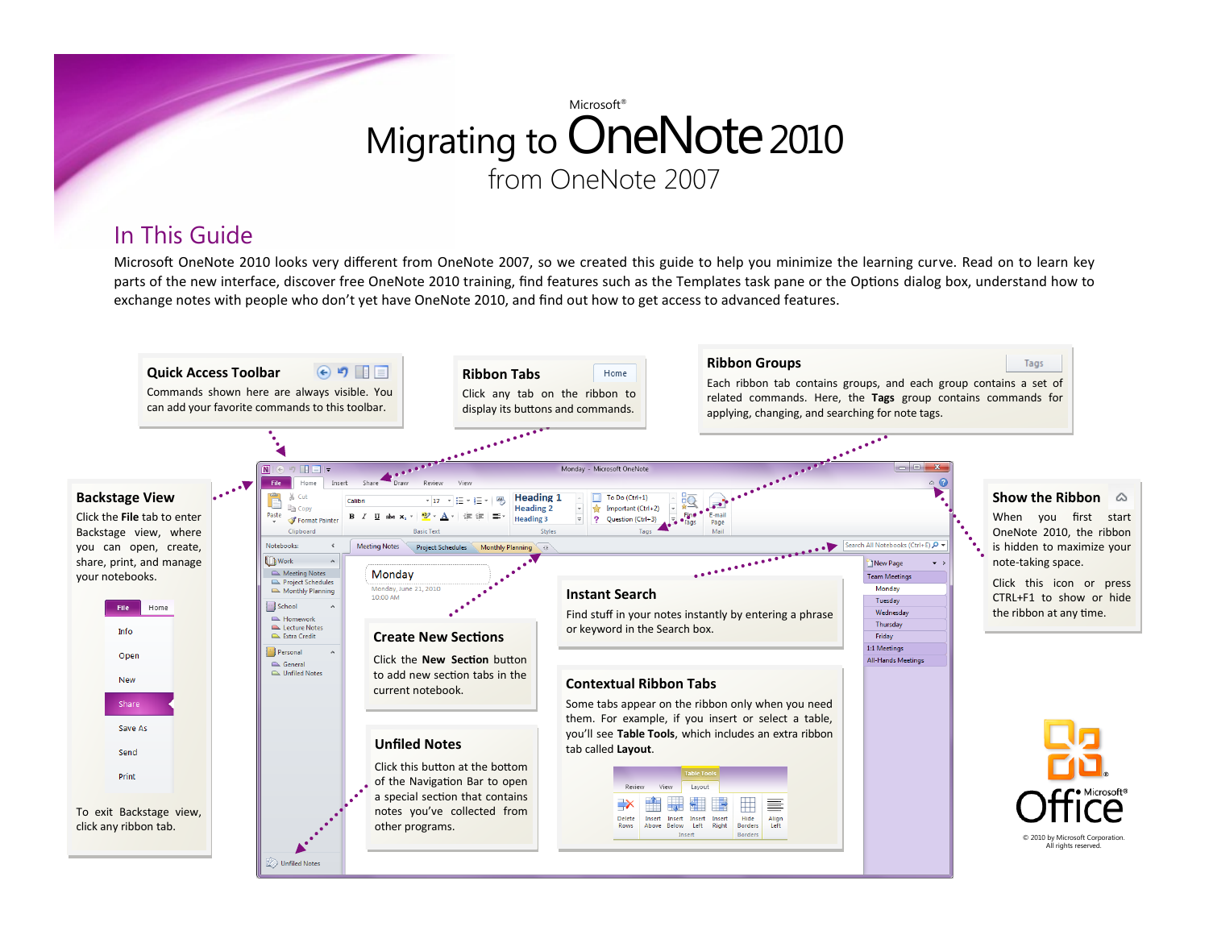### In This Guide

Microsoft OneNote 2010 looks very different from OneNote 2007, so we created this guide to help you minimize the learning curve. Read on to learn key parts of the new interface, discover free OneNote 2010 training, find features such as the Templates task pane or the Options dialog box, understand how to exchange notes with people who don't yet have OneNote 2010, and find out how to get access to advanced features.

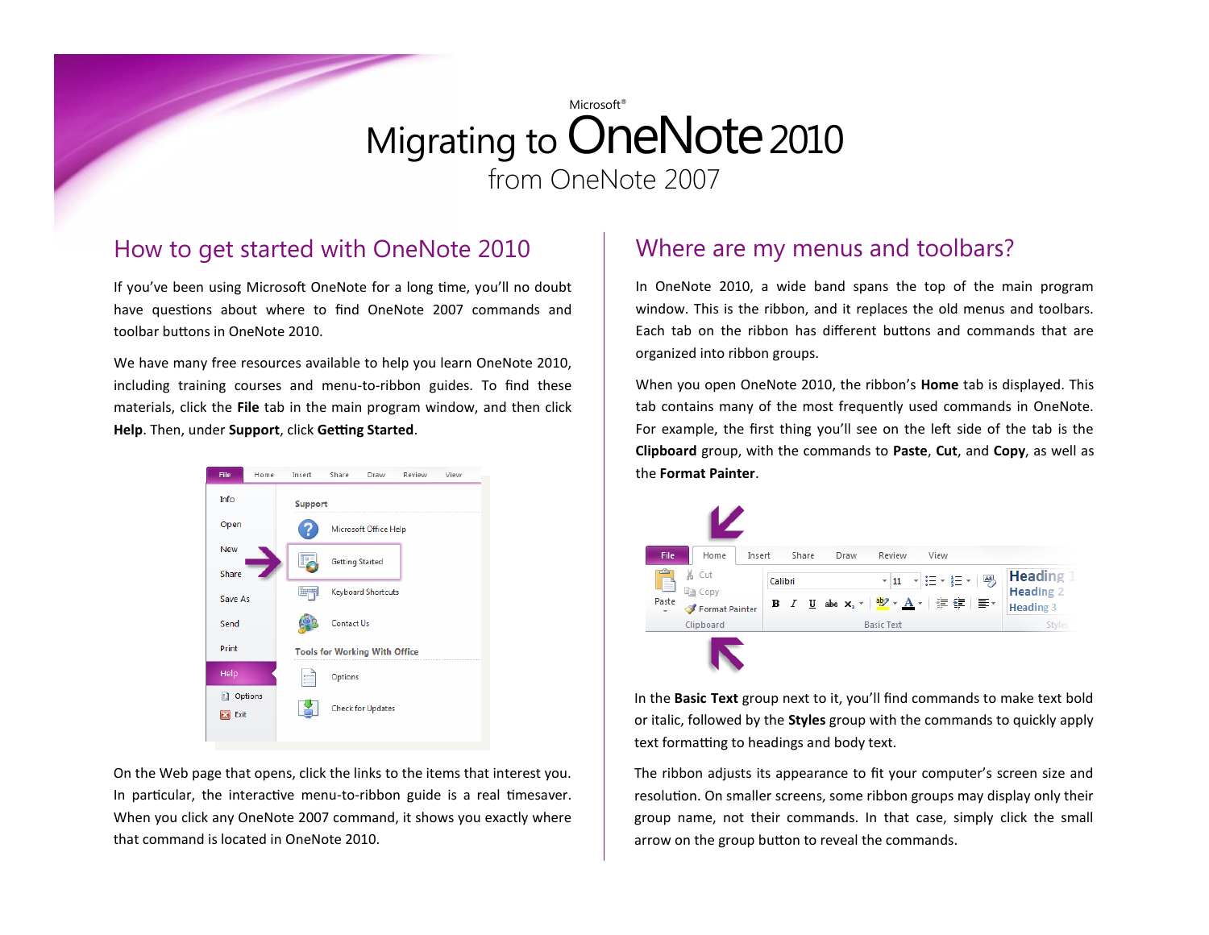#### How to get started with OneNote 2010

If you've been using Microsoft OneNote for a long time, you'll no doubt have questions about where to find OneNote 2007 commands and toolbar buttons in OneNote 2010.

We have many free resources available to help you learn OneNote 2010, including training courses and menu-to-ribbon guides. To find these materials, click the **File** tab in the main program window, and then click **Help**. Then, under **Support**, click **Getting Started**.



On the Web page that opens, click the links to the items that interest you. In particular, the interactive menu-to-ribbon guide is a real timesaver. When you click any OneNote 2007 command, it shows you exactly where that command is located in OneNote 2010.

#### Where are my menus and toolbars?

In OneNote 2010, a wide band spans the top of the main program window. This is the ribbon, and it replaces the old menus and toolbars. Each tab on the ribbon has different buttons and commands that are organized into ribbon groups.

When you open OneNote 2010, the ribbon's **Home** tab is displayed. This tab contains many of the most frequently used commands in OneNote. For example, the first thing you'll see on the left side of the tab is the **Clipboard** group, with the commands to **Paste**, **Cut**, and **Copy**, as well as the **Format Painter**.



In the **Basic Text** group next to it, you'll find commands to make text bold or italic, followed by the **Styles** group with the commands to quickly apply text formatting to headings and body text.

The ribbon adjusts its appearance to fit your computer's screen size and resolution. On smaller screens, some ribbon groups may display only their group name, not their commands. In that case, simply click the small arrow on the group button to reveal the commands.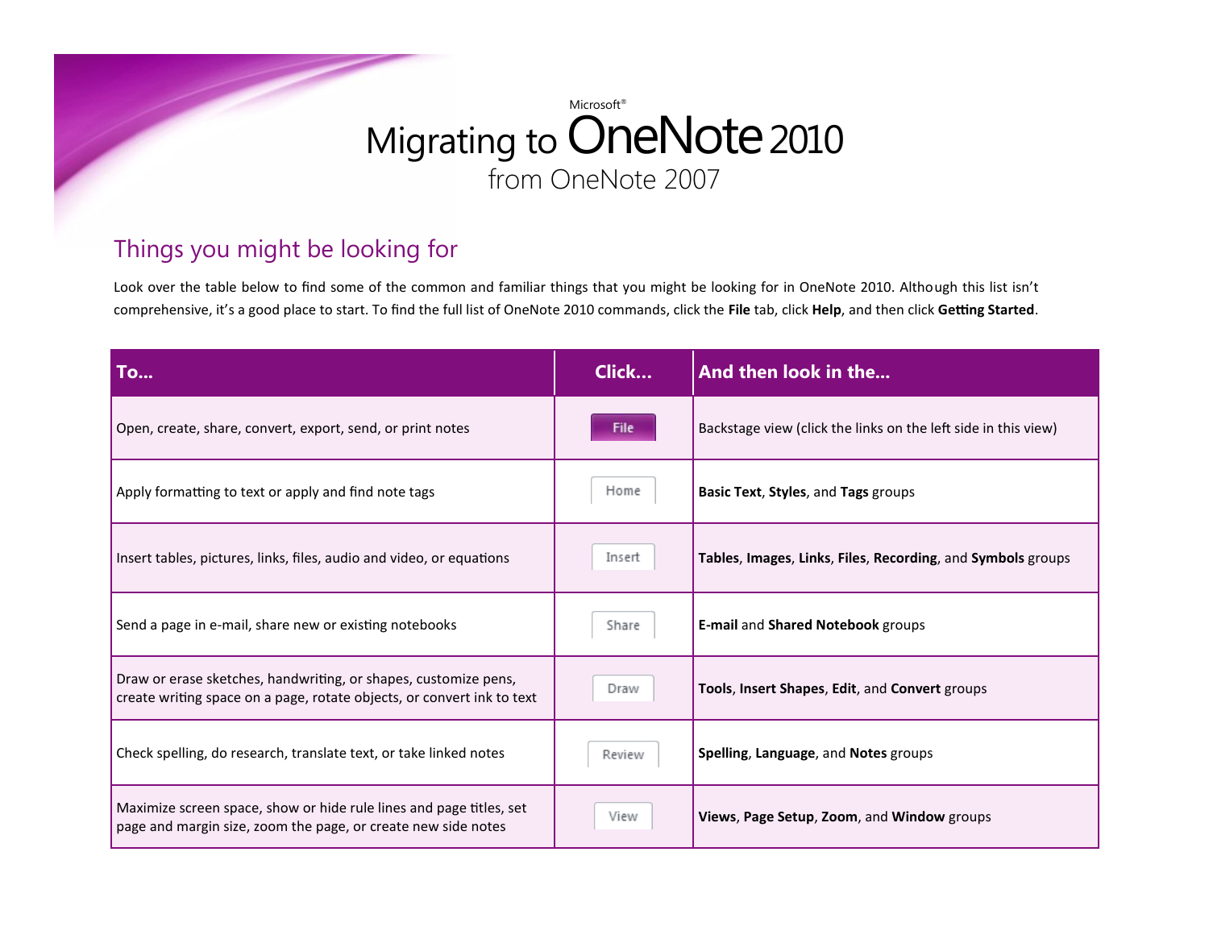### Things you might be looking for

Look over the table below to find some of the common and familiar things that you might be looking for in OneNote 2010. Although this list isn't comprehensive, it's a good place to start. To find the full list of OneNote 2010 commands, click the **File** tab, click **Help**, and then click **Getting Started**.

| To                                                                                                                                        | Click  | And then look in the                                           |
|-------------------------------------------------------------------------------------------------------------------------------------------|--------|----------------------------------------------------------------|
| Open, create, share, convert, export, send, or print notes                                                                                | File   | Backstage view (click the links on the left side in this view) |
| Apply formatting to text or apply and find note tags                                                                                      | Home   | Basic Text, Styles, and Tags groups                            |
| Insert tables, pictures, links, files, audio and video, or equations                                                                      | Insert | Tables, Images, Links, Files, Recording, and Symbols groups    |
| Send a page in e-mail, share new or existing notebooks                                                                                    | Share  | <b>E-mail and Shared Notebook groups</b>                       |
| Draw or erase sketches, handwriting, or shapes, customize pens,<br>create writing space on a page, rotate objects, or convert ink to text | Draw   | Tools, Insert Shapes, Edit, and Convert groups                 |
| Check spelling, do research, translate text, or take linked notes                                                                         | Review | Spelling, Language, and Notes groups                           |
| Maximize screen space, show or hide rule lines and page titles, set<br>page and margin size, zoom the page, or create new side notes      | View   | Views, Page Setup, Zoom, and Window groups                     |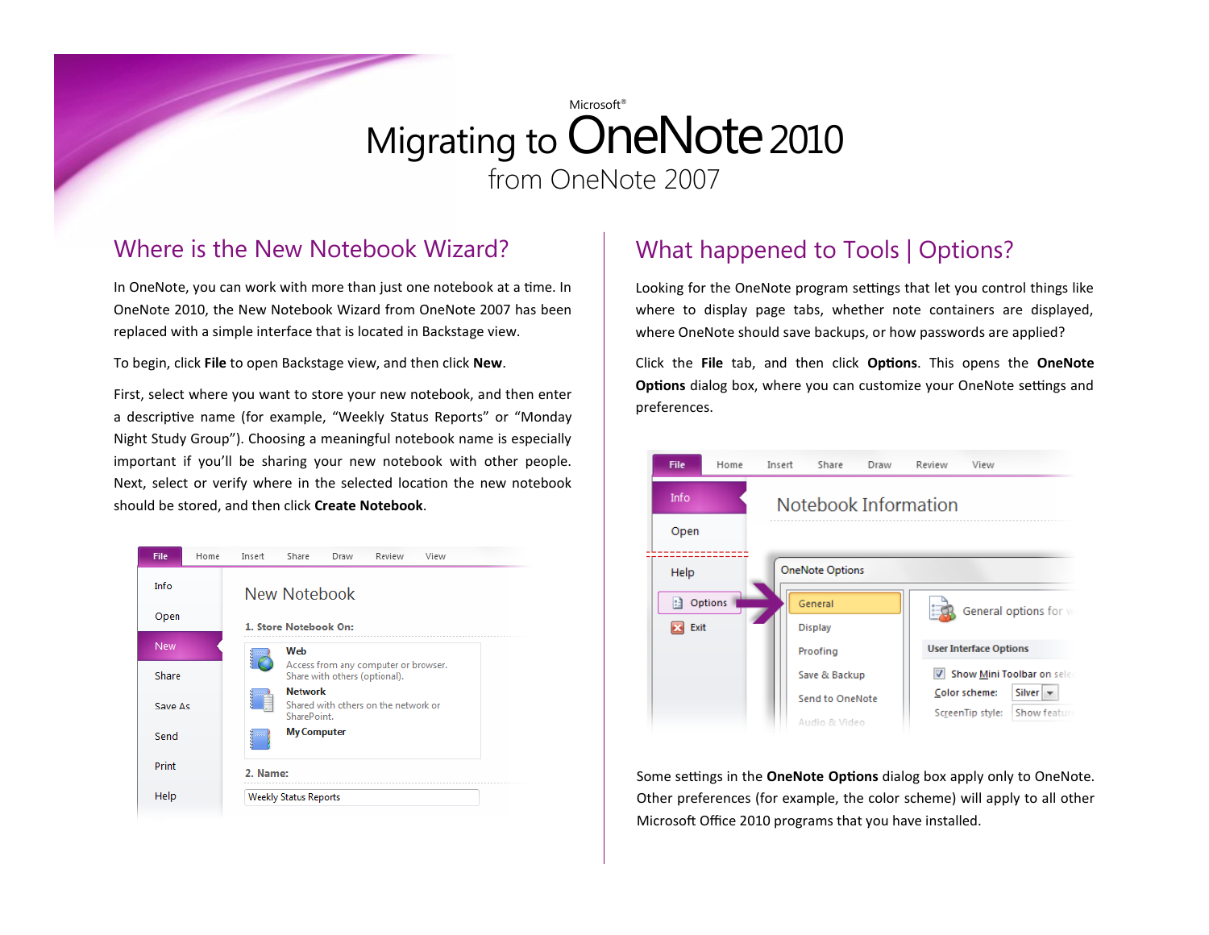#### Where is the New Notebook Wizard?

In OneNote, you can work with more than just one notebook at a time. In OneNote 2010, the New Notebook Wizard from OneNote 2007 has been replaced with a simple interface that is located in Backstage view.

To begin, click **File** to open Backstage view, and then click **New**.

First, select where you want to store your new notebook, and then enter a descriptive name (for example, "Weekly Status Reports" or "Monday Night Study Group"). Choosing a meaningful notebook name is especially important if you'll be sharing your new notebook with other people. Next, select or verify where in the selected location the new notebook should be stored, and then click **Create Notebook**.



### What happened to Tools | Options?

Looking for the OneNote program settings that let you control things like where to display page tabs, whether note containers are displayed, where OneNote should save backups, or how passwords are applied?

Click the **File** tab, and then click **Options**. This opens the **OneNote Options** dialog box, where you can customize your OneNote settings and preferences.



Some settings in the **OneNote Options** dialog box apply only to OneNote. Other preferences (for example, the color scheme) will apply to all other Microsoft Office 2010 programs that you have installed.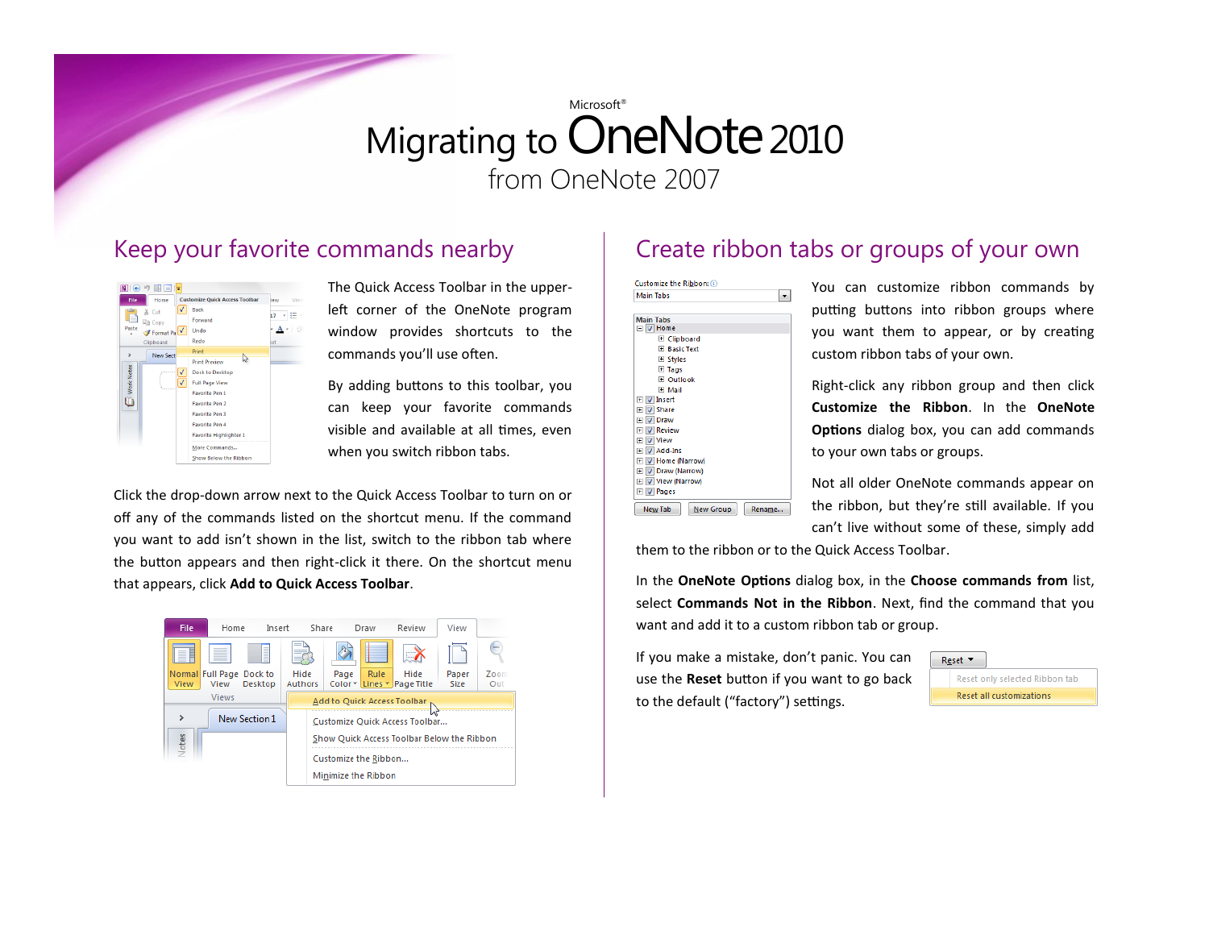#### Keep your favorite commands nearby



The Quick Access Toolbar in the upperleft corner of the OneNote program window provides shortcuts to the commands you'll use often.

By adding buttons to this toolbar, you can keep your favorite commands visible and available at all times, even when you switch ribbon tabs.

Click the drop-down arrow next to the Quick Access Toolbar to turn on or off any of the commands listed on the shortcut menu. If the command you want to add isn't shown in the list, switch to the ribbon tab where the button appears and then right-click it there. On the shortcut menu that appears, click **Add to Quick Access Toolbar**.



### Create ribbon tabs or groups of your own



You can customize ribbon commands by putting buttons into ribbon groups where you want them to appear, or by creating custom ribbon tabs of your own.

Right-click any ribbon group and then click **Customize the Ribbon**. In the **OneNote Options** dialog box, you can add commands to your own tabs or groups.

Not all older OneNote commands appear on the ribbon, but they're still available. If you can't live without some of these, simply add

them to the ribbon or to the Quick Access Toolbar.

In the **OneNote Options** dialog box, in the **Choose commands from** list, select **Commands Not in the Ribbon**. Next, find the command that you want and add it to a custom ribbon tab or group.

If you make a mistake, don't panic. You can use the **Reset** button if you want to go back to the default ("factory") settings.

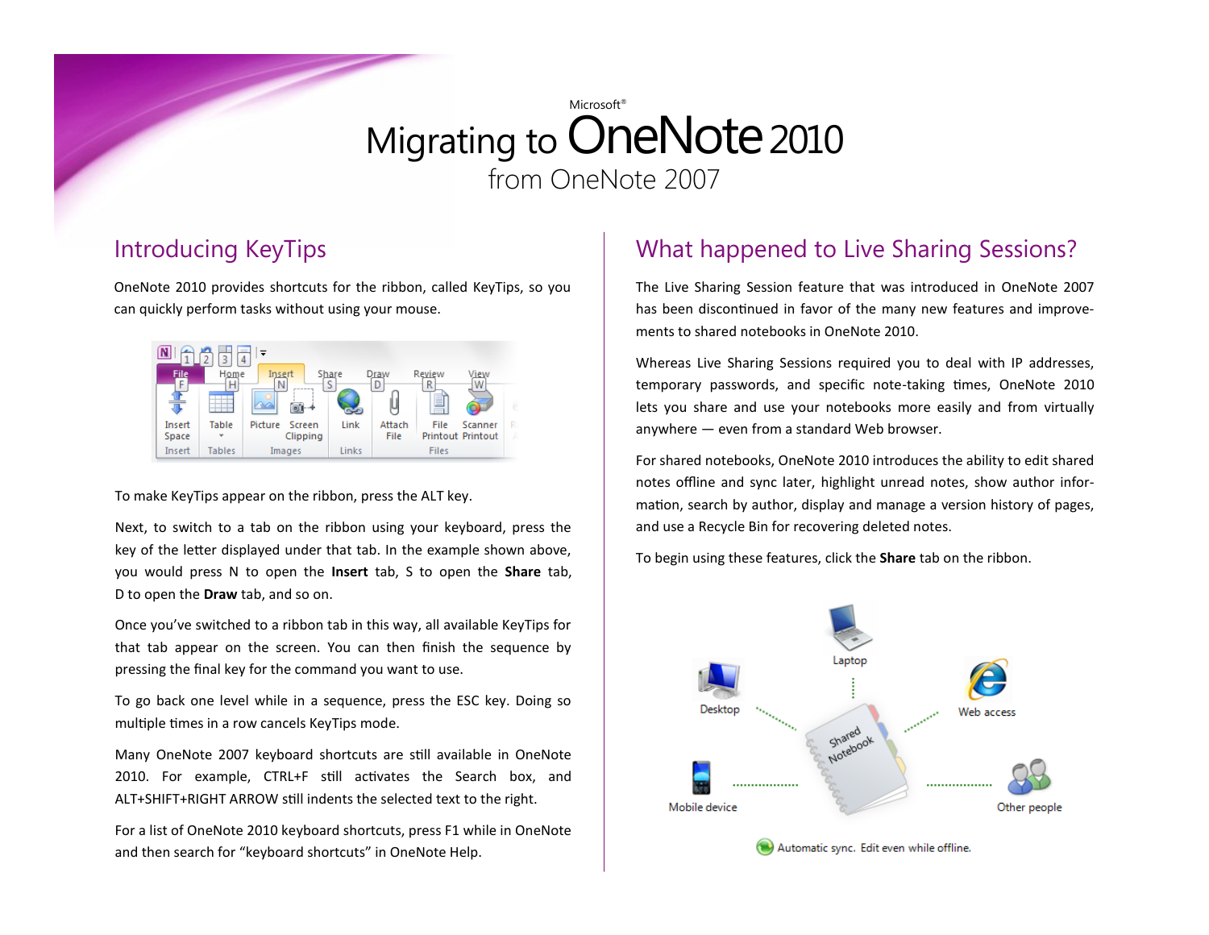### Introducing KeyTips

OneNote 2010 provides shortcuts for the ribbon, called KeyTips, so you can quickly perform tasks without using your mouse.



To make KeyTips appear on the ribbon, press the ALT key.

Next, to switch to a tab on the ribbon using your keyboard, press the key of the letter displayed under that tab. In the example shown above, you would press N to open the **Insert** tab, S to open the **Share** tab, D to open the **Draw** tab, and so on.

Once you've switched to a ribbon tab in this way, all available KeyTips for that tab appear on the screen. You can then finish the sequence by pressing the final key for the command you want to use.

To go back one level while in a sequence, press the ESC key. Doing so multiple times in a row cancels KeyTips mode.

Many OneNote 2007 keyboard shortcuts are still available in OneNote 2010. For example, CTRL+F still activates the Search box, and ALT+SHIFT+RIGHT ARROW still indents the selected text to the right.

For a list of OneNote 2010 keyboard shortcuts, press F1 while in OneNote and then search for "keyboard shortcuts" in OneNote Help.

### What happened to Live Sharing Sessions?

The Live Sharing Session feature that was introduced in OneNote 2007 has been discontinued in favor of the many new features and improvements to shared notebooks in OneNote 2010.

Whereas Live Sharing Sessions required you to deal with IP addresses, temporary passwords, and specific note-taking times, OneNote 2010 lets you share and use your notebooks more easily and from virtually anywhere — even from a standard Web browser.

For shared notebooks, OneNote 2010 introduces the ability to edit shared notes offline and sync later, highlight unread notes, show author information, search by author, display and manage a version history of pages, and use a Recycle Bin for recovering deleted notes.

To begin using these features, click the **Share** tab on the ribbon.